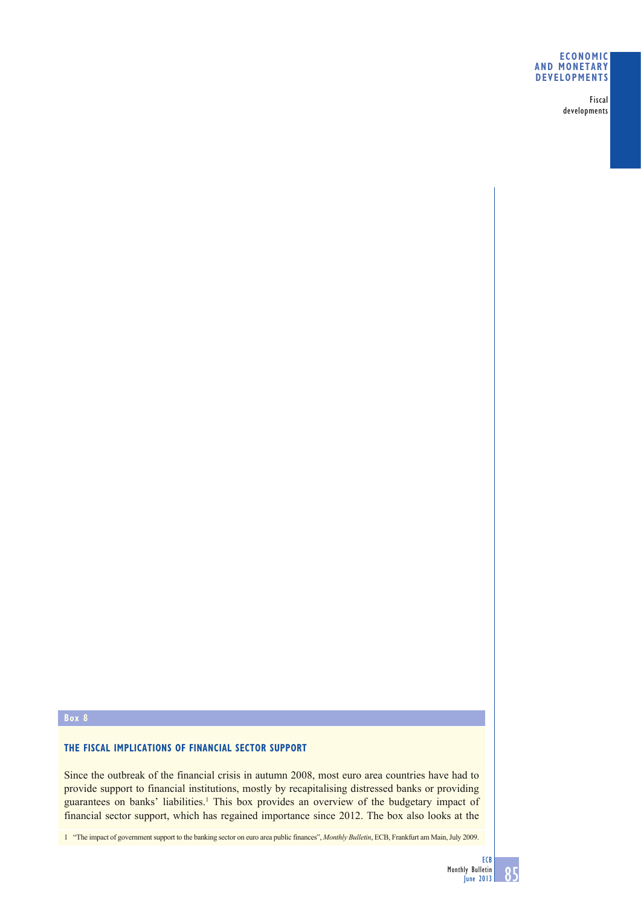## **ECONOMIC AND MONETARY DEVELOPMENTS**

Fiscal developments

## **Box 8**

# **THE FISCAL IMPLICATIONS OF FINANCIAL SECTOR SUPPORT**

Since the outbreak of the financial crisis in autumn 2008, most euro area countries have had to provide support to financial institutions, mostly by recapitalising distressed banks or providing guarantees on banks' liabilities.<sup>1</sup> This box provides an overview of the budgetary impact of financial sector support, which has regained importance since 2012. The box also looks at the

1 "The impact of government support to the banking sector on euro area public finances", *Monthly Bulletin*, ECB, Frankfurt am Main, July 2009.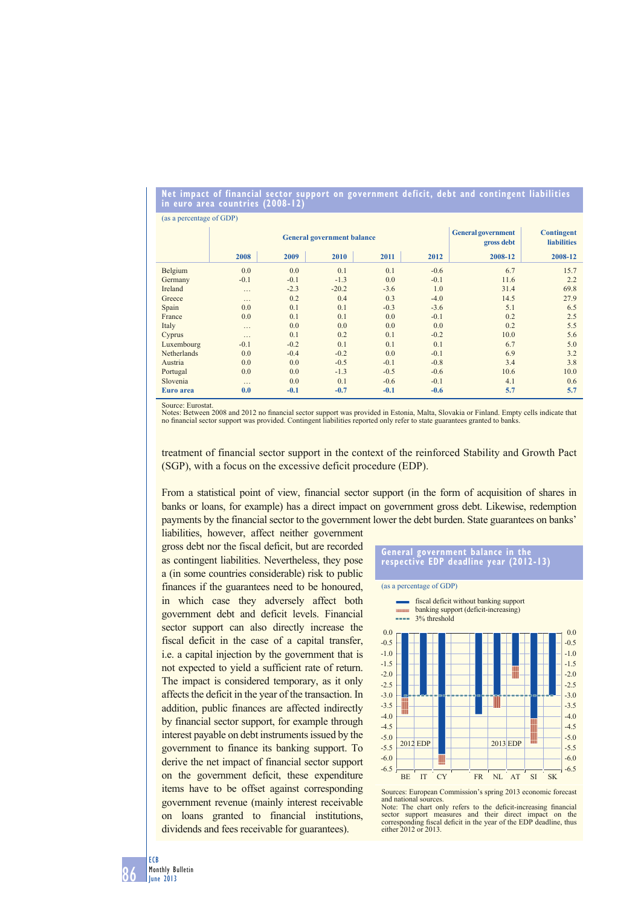#### **Net impact of financial sector support on government deficit, debt and contingent liabilities in euro area countries (2008-12)**

| (as a percentage of GDP) |                                   |        |         |        |        |                                         |                                         |
|--------------------------|-----------------------------------|--------|---------|--------|--------|-----------------------------------------|-----------------------------------------|
|                          | <b>General government balance</b> |        |         |        |        | <b>General government</b><br>gross debt | <b>Contingent</b><br><b>liabilities</b> |
|                          | 2008                              | 2009   | 2010    | 2011   | 2012   | 2008-12                                 | 2008-12                                 |
| Belgium                  | 0.0                               | 0.0    | 0.1     | 0.1    | $-0.6$ | 6.7                                     | 15.7                                    |
| Germany                  | $-0.1$                            | $-0.1$ | $-1.3$  | 0.0    | $-0.1$ | 11.6                                    | 2.2                                     |
| Ireland                  | .                                 | $-2.3$ | $-20.2$ | $-3.6$ | 1.0    | 31.4                                    | 69.8                                    |
| Greece                   | .                                 | 0.2    | 0.4     | 0.3    | $-4.0$ | 14.5                                    | 27.9                                    |
| Spain                    | 0.0                               | 0.1    | 0.1     | $-0.3$ | $-3.6$ | 5.1                                     | 6.5                                     |
| France                   | 0.0                               | 0.1    | 0.1     | 0.0    | $-0.1$ | 0.2                                     | 2.5                                     |
| Italy                    | .                                 | 0.0    | 0.0     | 0.0    | 0.0    | 0.2                                     | 5.5                                     |
| Cyprus                   | .                                 | 0.1    | 0.2     | 0.1    | $-0.2$ | 10.0                                    | 5.6                                     |
| Luxembourg               | $-0.1$                            | $-0.2$ | 0.1     | 0.1    | 0.1    | 6.7                                     | 5.0                                     |
| Netherlands              | 0.0                               | $-0.4$ | $-0.2$  | 0.0    | $-0.1$ | 6.9                                     | 3.2                                     |
| Austria                  | 0.0                               | 0.0    | $-0.5$  | $-0.1$ | $-0.8$ | 3.4                                     | 3.8                                     |
| Portugal                 | 0.0                               | 0.0    | $-1.3$  | $-0.5$ | $-0.6$ | 10.6                                    | 10.0                                    |
| Slovenia                 | .                                 | 0.0    | 0.1     | $-0.6$ | $-0.1$ | 4.1                                     | 0.6                                     |
| Euro area                | 0.0                               | $-0.1$ | $-0.7$  | $-0.1$ | $-0.6$ | 5.7                                     | 5.7                                     |

Source: Eurostat.

Notes: Between 2008 and 2012 no financial sector support was provided in Estonia, Malta, Slovakia or Finland. Empty cells indicate that no financial sector support was provided. Contingent liabilities reported only refer t

treatment of financial sector support in the context of the reinforced Stability and Growth Pact (SGP), with a focus on the excessive deficit procedure (EDP).

From a statistical point of view, financial sector support (in the form of acquisition of shares in banks or loans, for example) has a direct impact on government gross debt. Likewise, redemption payments by the financial sector to the government lower the debt burden. State guarantees on banks'

liabilities, however, affect neither government gross debt nor the fiscal deficit, but are recorded as contingent liabilities. Nevertheless, they pose a (in some countries considerable) risk to public finances if the guarantees need to be honoured, in which case they adversely affect both government debt and deficit levels. Financial sector support can also directly increase the fiscal deficit in the case of a capital transfer, i.e. a capital injection by the government that is not expected to yield a sufficient rate of return. The impact is considered temporary, as it only affects the deficit in the year of the transaction. In addition, public finances are affected indirectly by financial sector support, for example through interest payable on debt instruments issued by the government to finance its banking support. To derive the net impact of financial sector support on the government deficit, these expenditure items have to be offset against corresponding government revenue (mainly interest receivable on loans granted to financial institutions, dividends and fees receivable for guarantees).

# **General government balance in the respective EDP deadline year (2012-13)**

(as a percentage of GDP)





Sources: European Commission's spring 2013 economic forecast and national sources.<br>Note: The chart only refers to the deficit-increasing financial

sector support measures and their direct impact on the corresponding fiscal deficit in the year of the EDP deadline, thus either 2012 or 2013.